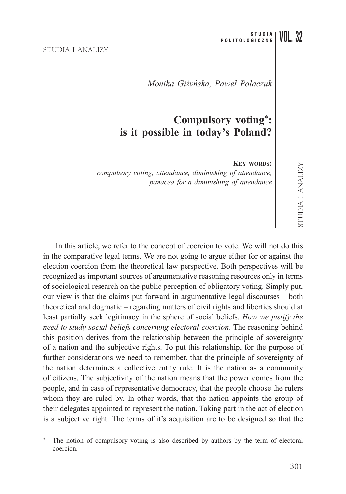#### STUDIA I ANALIZY

*Monika Giżyńska, Paweł Polaczuk*

# **Compulsory voting**\***: is it possible in today's Poland?**

**KEY WORDS:**

*compulsory voting, attendance, diminishing of attendance, panacea for a diminishing of attendance*

In this article, we refer to the concept of coercion to vote. We will not do this in the comparative legal terms. We are not going to argue either for or against the election coercion from the theoretical law perspective. Both perspectives will be recognized as important sources of argumentative reasoning resources only in terms of sociological research on the public perception of obligatory voting. Simply put, our view is that the claims put forward in argumentative legal discourses – both theoretical and dogmatic – regarding matters of civil rights and liberties should at least partially seek legitimacy in the sphere of social beliefs. *How we justify the need to study social beliefs concerning electoral coercion*. The reasoning behind this position derives from the relationship between the principle of sovereignty of a nation and the subjective rights. To put this relationship, for the purpose of further considerations we need to remember, that the principle of sovereignty of the nation determines a collective entity rule. It is the nation as a community of citizens. The subjectivity of the nation means that the power comes from the people, and in case of representative democracy, that the people choose the rulers whom they are ruled by. In other words, that the nation appoints the group of their delegates appointed to represent the nation. Taking part in the act of election is a subjective right. The terms of it's acquisition are to be designed so that the

The notion of compulsory voting is also described by authors by the term of electoral coercion.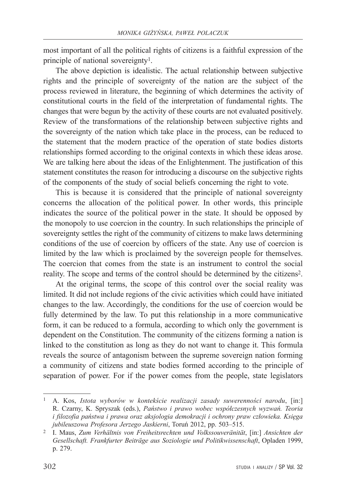most important of all the political rights of citizens is a faithful expression of the principle of national sovereignty1.

The above depiction is idealistic. The actual relationship between subjective rights and the principle of sovereignty of the nation are the subject of the process reviewed in literature, the beginning of which determines the activity of constitutional courts in the field of the interpretation of fundamental rights. The changes that were begun by the activity of these courts are not evaluated positively. Review of the transformations of the relationship between subjective rights and the sovereignty of the nation which take place in the process, can be reduced to the statement that the modern practice of the operation of state bodies distorts relationships formed according to the original contexts in which these ideas arose. We are talking here about the ideas of the Enlightenment. The justification of this statement constitutes the reason for introducing a discourse on the subjective rights of the components of the study of social beliefs concerning the right to vote.

This is because it is considered that the principle of national sovereignty concerns the allocation of the political power. In other words, this principle indicates the source of the political power in the state. It should be opposed by the monopoly to use coercion in the country. In such relationships the principle of sovereignty settles the right of the community of citizens to make laws determining conditions of the use of coercion by officers of the state. Any use of coercion is limited by the law which is proclaimed by the sovereign people for themselves. The coercion that comes from the state is an instrument to control the social reality. The scope and terms of the control should be determined by the citizens2.

At the original terms, the scope of this control over the social reality was limited. It did not include regions of the civic activities which could have initiated changes to the law. Accordingly, the conditions for the use of coercion would be fully determined by the law. To put this relationship in a more communicative form, it can be reduced to a formula, according to which only the government is dependent on the Constitution. The community of the citizens forming a nation is linked to the constitution as long as they do not want to change it. This formula reveals the source of antagonism between the supreme sovereign nation forming a community of citizens and state bodies formed according to the principle of separation of power. For if the power comes from the people, state legislators

<sup>1</sup> A. Kos, *Istota wyborów w kontekście realizacji zasady suwerenności narodu*, [in:] R. Czarny, K. Spryszak (eds.), *Państwo i prawo wobec współczesnych wyzwań. Teoria i filozofia państwa i prawa oraz aksjologia demokracji i ochrony praw człowieka. Księga jubileuszowa Profesora Jerzego Jaskierni*, Toruń 2012, pp. 503–515.

<sup>2</sup> I. Maus, *Zum Verhältnis von Freiheitsrechten und Volkssouveränität*, [in:] *Ansichten der Gesellschaft. Frankfurter Beiträge aus Soziologie und Politikwissenschaft*, Opladen 1999, p. 279.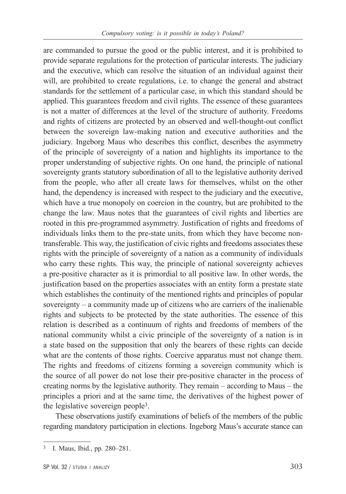are commanded to pursue the good or the public interest, and it is prohibited to provide separate regulations for the protection of particular interests. The judiciary and the executive, which can resolve the situation of an individual against their will, are prohibited to create regulations, i.e. to change the general and abstract standards for the settlement of a particular case, in which this standard should be applied. This guarantees freedom and civil rights. The essence of these guarantees is not a matter of differences at the level of the structure of authority. Freedoms and rights of citizens are protected by an observed and well-thought-out conflict between the sovereign law-making nation and executive authorities and the judiciary. Ingeborg Maus who describes this conflict, describes the asymmetry of the principle of sovereignty of a nation and highlights its importance to the proper understanding of subjective rights. On one hand, the principle of national sovereignty grants statutory subordination of all to the legislative authority derived from the people, who after all create laws for themselves, whilst on the other hand, the dependency is increased with respect to the judiciary and the executive, which have a true monopoly on coercion in the country, but are prohibited to the change the law. Maus notes that the guarantees of civil rights and liberties are rooted in this pre-programmed asymmetry. Justification of rights and freedoms of individuals links them to the pre-state units, from which they have become nontransferable. This way, the justification of civic rights and freedoms associates these rights with the principle of sovereignty of a nation as a community of individuals who carry these rights. This way, the principle of national sovereignty achieves a pre-positive character as it is primordial to all positive law. In other words, the justification based on the properties associates with an entity form a prestate state which establishes the continuity of the mentioned rights and principles of popular sovereignty – a community made up of citizens who are carriers of the inalienable rights and subjects to be protected by the state authorities. The essence of this relation is described as a continuum of rights and freedoms of members of the national community whilst a civic principle of the sovereignty of a nation is in a state based on the supposition that only the bearers of these rights can decide what are the contents of those rights. Coercive apparatus must not change them. The rights and freedoms of citizens forming a sovereign community which is the source of all power do not lose their pre-positive character in the process of creating norms by the legislative authority. They remain – according to Maus – the principles a priori and at the same time, the derivatives of the highest power of the legislative sovereign people3.

These observations justify examinations of beliefs of the members of the public regarding mandatory participation in elections. Ingeborg Maus's accurate stance can

<sup>3</sup> I. Maus, Ibid., pp. 280–281.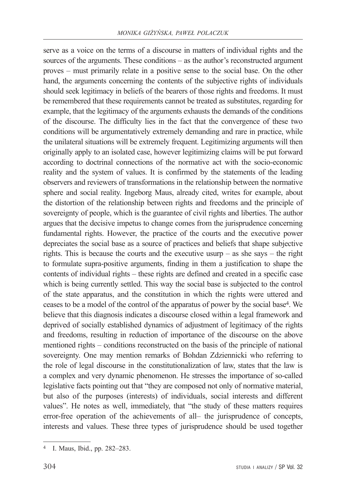serve as a voice on the terms of a discourse in matters of individual rights and the sources of the arguments. These conditions – as the author's reconstructed argument proves – must primarily relate in a positive sense to the social base. On the other hand, the arguments concerning the contents of the subjective rights of individuals should seek legitimacy in beliefs of the bearers of those rights and freedoms. It must be remembered that these requirements cannot be treated as substitutes, regarding for example, that the legitimacy of the arguments exhausts the demands of the conditions of the discourse. The difficulty lies in the fact that the convergence of these two conditions will be argumentatively extremely demanding and rare in practice, while the unilateral situations will be extremely frequent. Legitimizing arguments will then originally apply to an isolated case, however legitimizing claims will be put forward according to doctrinal connections of the normative act with the socio-economic reality and the system of values. It is confirmed by the statements of the leading observers and reviewers of transformations in the relationship between the normative sphere and social reality. Ingeborg Maus, already cited, writes for example, about the distortion of the relationship between rights and freedoms and the principle of sovereignty of people, which is the guarantee of civil rights and liberties. The author argues that the decisive impetus to change comes from the jurisprudence concerning fundamental rights. However, the practice of the courts and the executive power depreciates the social base as a source of practices and beliefs that shape subjective rights. This is because the courts and the executive usurp – as she says – the right to formulate supra-positive arguments, finding in them a justification to shape the contents of individual rights – these rights are defined and created in a specific case which is being currently settled. This way the social base is subjected to the control of the state apparatus, and the constitution in which the rights were uttered and ceases to be a model of the control of the apparatus of power by the social base4. We believe that this diagnosis indicates a discourse closed within a legal framework and deprived of socially established dynamics of adjustment of legitimacy of the rights and freedoms, resulting in reduction of importance of the discourse on the above mentioned rights – conditions reconstructed on the basis of the principle of national sovereignty. One may mention remarks of Bohdan Zdziennicki who referring to the role of legal discourse in the constitutionalization of law, states that the law is a complex and very dynamic phenomenon. He stresses the importance of so-called legislative facts pointing out that "they are composed not only of normative material, but also of the purposes (interests) of individuals, social interests and different values". He notes as well, immediately, that "the study of these matters requires error-free operation of the achievements of all– the jurisprudence of concepts, interests and values. These three types of jurisprudence should be used together

<sup>4</sup> I. Maus, Ibid., pp. 282–283.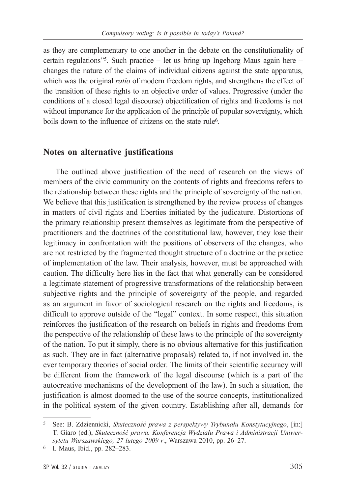as they are complementary to one another in the debate on the constitutionality of certain regulations"5. Such practice – let us bring up Ingeborg Maus again here – changes the nature of the claims of individual citizens against the state apparatus, which was the original *ratio* of modern freedom rights, and strengthens the effect of the transition of these rights to an objective order of values. Progressive (under the conditions of a closed legal discourse) objectification of rights and freedoms is not without importance for the application of the principle of popular sovereignty, which boils down to the influence of citizens on the state rule<sup>6</sup>.

### **Notes on alternative justifications**

The outlined above justification of the need of research on the views of members of the civic community on the contents of rights and freedoms refers to the relationship between these rights and the principle of sovereignty of the nation. We believe that this justification is strengthened by the review process of changes in matters of civil rights and liberties initiated by the judicature. Distortions of the primary relationship present themselves as legitimate from the perspective of practitioners and the doctrines of the constitutional law, however, they lose their legitimacy in confrontation with the positions of observers of the changes, who are not restricted by the fragmented thought structure of a doctrine or the practice of implementation of the law. Their analysis, however, must be approached with caution. The difficulty here lies in the fact that what generally can be considered a legitimate statement of progressive transformations of the relationship between subjective rights and the principle of sovereignty of the people, and regarded as an argument in favor of sociological research on the rights and freedoms, is difficult to approve outside of the "legal" context. In some respect, this situation reinforces the justification of the research on beliefs in rights and freedoms from the perspective of the relationship of these laws to the principle of the sovereignty of the nation. To put it simply, there is no obvious alternative for this justification as such. They are in fact (alternative proposals) related to, if not involved in, the ever temporary theories of social order. The limits of their scientific accuracy will be different from the framework of the legal discourse (which is a part of the autocreative mechanisms of the development of the law). In such a situation, the justification is almost doomed to the use of the source concepts, institutionalized in the political system of the given country. Establishing after all, demands for

<sup>5</sup> See: B. Zdziennicki, *Skuteczność prawa z perspektywy Trybunału Konstytucyjnego*, [in:] T. Giaro (ed.), *Skuteczność prawa. Konferencja Wydziału Prawa i Administracji Uniwersytetu Warszawskiego, 27 lutego 2009 r*., Warszawa 2010, pp. 26–27.

<sup>6</sup> I. Maus, Ibid., pp. 282–283.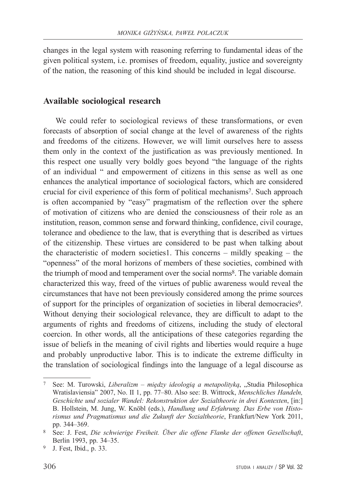changes in the legal system with reasoning referring to fundamental ideas of the given political system, i.e. promises of freedom, equality, justice and sovereignty of the nation, the reasoning of this kind should be included in legal discourse.

# **Available sociological research**

We could refer to sociological reviews of these transformations, or even forecasts of absorption of social change at the level of awareness of the rights and freedoms of the citizens. However, we will limit ourselves here to assess them only in the context of the justification as was previously mentioned. In this respect one usually very boldly goes beyond "the language of the rights of an individual " and empowerment of citizens in this sense as well as one enhances the analytical importance of sociological factors, which are considered crucial for civil experience of this form of political mechanisms<sup>7</sup>. Such approach is often accompanied by "easy" pragmatism of the reflection over the sphere of motivation of citizens who are denied the consciousness of their role as an institution, reason, common sense and forward thinking, confidence, civil courage, tolerance and obedience to the law, that is everything that is described as virtues of the citizenship. These virtues are considered to be past when talking about the characteristic of modern societies1. This concerns – mildly speaking – the "openness" of the moral horizons of members of these societies, combined with the triumph of mood and temperament over the social norms8. The variable domain characterized this way, freed of the virtues of public awareness would reveal the circumstances that have not been previously considered among the prime sources of support for the principles of organization of societies in liberal democracies9. Without denying their sociological relevance, they are difficult to adapt to the arguments of rights and freedoms of citizens, including the study of electoral coercion. In other words, all the anticipations of these categories regarding the issue of beliefs in the meaning of civil rights and liberties would require a huge and probably unproductive labor. This is to indicate the extreme difficulty in the translation of sociological findings into the language of a legal discourse as

<sup>7</sup> See: M. Turowski, *Liberalizm – między ideologią a metapolityką*, "Studia Philosophica Wratislaviensia" 2007, No. II 1, pp. 77–80. Also see: B. Wittrock, *Menschliches Handeln, Geschichte und sozialer Wandel: Rekonstruktion der Sozialtheorie in drei Kontexten*, [in:] B. Hollstein, M. Jung, W. Knöbl (eds.), *Handlung und Erfahrung. Das Erbe von Historismus und Pragmatismus und die Zukunft der Sozialtheorie*, Frankfurt/New York 2011, pp. 344–369.

<sup>8</sup> See: J. Fest, *Die schwierige Freiheit. Über die offene Flanke der offenen Gesellschaft*, Berlin 1993, pp. 34–35.

<sup>9</sup> J. Fest, Ibid., p. 33.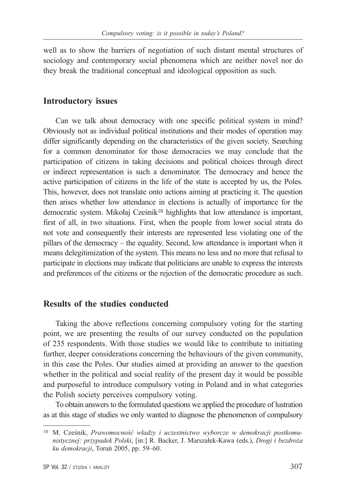well as to show the barriers of negotiation of such distant mental structures of sociology and contemporary social phenomena which are neither novel nor do they break the traditional conceptual and ideological opposition as such.

#### **Introductory issues**

Can we talk about democracy with one specific political system in mind? Obviously not as individual political institutions and their modes of operation may differ significantly depending on the characteristics of the given society. Searching for a common denominator for those democracies we may conclude that the participation of citizens in taking decisions and political choices through direct or indirect representation is such a denominator. The democracy and hence the active participation of citizens in the life of the state is accepted by us, the Poles. This, however, does not translate onto actions aiming at practicing it. The question then arises whether low attendance in elections is actually of importance for the democratic system. Mikołaj Cześnik<sup>10</sup> highlights that low attendance is important, first of all, in two situations. First, when the people from lower social strata do not vote and consequently their interests are represented less violating one of the pillars of the democracy – the equality. Second, low attendance is important when it means delegitimization of the system. This means no less and no more that refusal to participate in elections may indicate that politicians are unable to express the interests and preferences of the citizens or the rejection of the democratic procedure as such.

### **Results of the studies conducted**

Taking the above reflections concerning compulsory voting for the starting point, we are presenting the results of our survey conducted on the population of 235 respondents. With those studies we would like to contribute to initiating further, deeper considerations concerning the behaviours of the given community, in this case the Poles. Our studies aimed at providing an answer to the question whether in the political and social reality of the present day it would be possible and purposeful to introduce compulsory voting in Poland and in what categories the Polish society perceives compulsory voting.

To obtain answers to the formulated questions we applied the procedure of lustration as at this stage of studies we only wanted to diagnose the phenomenon of compulsory

<sup>10</sup> M. Cześnik, *Prawomocność władzy i uczestnictwo wyborcze w demokracji postkomunistycznej: przypadek Polski*, [in:] R. Backer, J. Marszałek-Kawa (eds.), *Drogi i bezdroża ku demokracji*, Toruń 2005, pp. 59–60.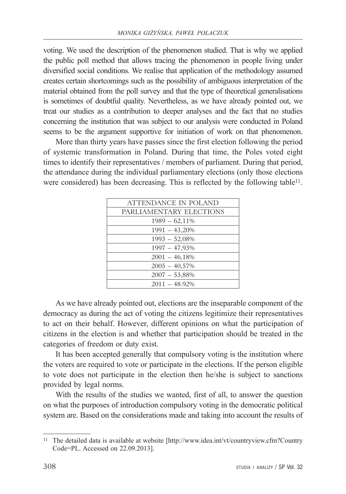voting. We used the description of the phenomenon studied. That is why we applied the public poll method that allows tracing the phenomenon in people living under diversified social conditions. We realise that application of the methodology assumed creates certain shortcomings such as the possibility of ambiguous interpretation of the material obtained from the poll survey and that the type of theoretical generalisations is sometimes of doubtful quality. Nevertheless, as we have already pointed out, we treat our studies as a contribution to deeper analyses and the fact that no studies concerning the institution that was subject to our analysis were conducted in Poland seems to be the argument supportive for initiation of work on that phenomenon.

More than thirty years have passes since the first election following the period of systemic transformation in Poland. During that time, the Poles voted eight times to identify their representatives / members of parliament. During that period, the attendance during the individual parliamentary elections (only those elections were considered) has been decreasing. This is reflected by the following table<sup>11</sup>.

| ATTENDANCE IN POLAND    |
|-------------------------|
| PARLIAMENTARY ELECTIONS |
| $1989 - 62,11\%$        |
| $1991 - 43,20\%$        |
| $1993 - 52,08\%$        |
| 1997 - 47,93%           |
| $2001 - 46,18\%$        |
| $2005 - 40,57\%$        |
| $2007 - 53,88\%$        |
| $2011 - 48.92\%$        |

As we have already pointed out, elections are the inseparable component of the democracy as during the act of voting the citizens legitimize their representatives to act on their behalf. However, different opinions on what the participation of citizens in the election is and whether that participation should be treated in the categories of freedom or duty exist.

It has been accepted generally that compulsory voting is the institution where the voters are required to vote or participate in the elections. If the person eligible to vote does not participate in the election then he/she is subject to sanctions provided by legal norms.

With the results of the studies we wanted, first of all, to answer the question on what the purposes of introduction compulsory voting in the democratic political system are. Based on the considerations made and taking into account the results of

<sup>11</sup> The detailed data is available at website [http://www.idea.int/vt/countryview.cfm?Country Code=PL. Accessed on 22.09.2013].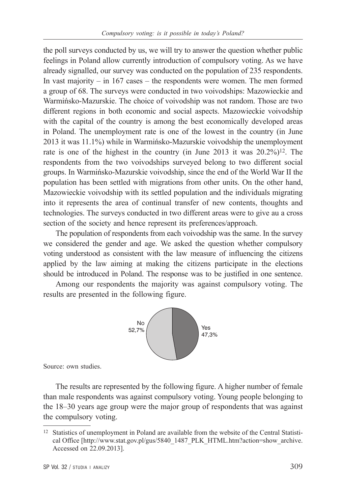the poll surveys conducted by us, we will try to answer the question whether public feelings in Poland allow currently introduction of compulsory voting. As we have already signalled, our survey was conducted on the population of 235 respondents. In vast majority – in 167 cases – the respondents were women. The men formed a group of 68. The surveys were conducted in two voivodships: Mazowieckie and Warmińsko-Mazurskie. The choice of voivodship was not random. Those are two different regions in both economic and social aspects. Mazowieckie voivodship with the capital of the country is among the best economically developed areas in Poland. The unemployment rate is one of the lowest in the country (in June 2013 it was 11.1%) while in Warmińsko-Mazurskie voivodship the unemployment rate is one of the highest in the country (in June 2013 it was  $20.2\%)$ <sup>12</sup>. The respondents from the two voivodships surveyed belong to two different social groups. In Warmińsko-Mazurskie voivodship, since the end of the World War II the population has been settled with migrations from other units. On the other hand, Mazowieckie voivodship with its settled population and the individuals migrating into it represents the area of continual transfer of new contents, thoughts and technologies. The surveys conducted in two different areas were to give au a cross section of the society and hence represent its preferences/approach.

The population of respondents from each voivodship was the same. In the survey we considered the gender and age. We asked the question whether compulsory voting understood as consistent with the law measure of influencing the citizens applied by the law aiming at making the citizens participate in the elections should be introduced in Poland. The response was to be justified in one sentence.

Among our respondents the majority was against compulsory voting. The results are presented in the following figure.



Source: own studies.

The results are represented by the following figure. A higher number of female than male respondents was against compulsory voting. Young people belonging to the 18–30 years age group were the major group of respondents that was against the compulsory voting.

<sup>12</sup> Statistics of unemployment in Poland are available from the website of the Central Statistical Office [http://www.stat.gov.pl/gus/5840\_1487\_PLK\_HTML.htm?action=show\_archive. Accessed on 22.09.2013].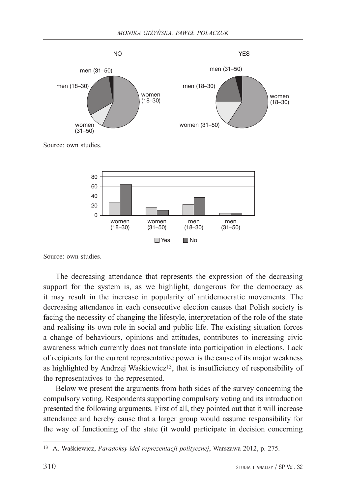

Source: own studies.

The decreasing attendance that represents the expression of the decreasing support for the system is, as we highlight, dangerous for the democracy as it may result in the increase in popularity of antidemocratic movements. The decreasing attendance in each consecutive election causes that Polish society is facing the necessity of changing the lifestyle, interpretation of the role of the state and realising its own role in social and public life. The existing situation forces a change of behaviours, opinions and attitudes, contributes to increasing civic awareness which currently does not translate into participation in elections. Lack of recipients for the current representative power is the cause of its major weakness as highlighted by Andrzej Waśkiewicz<sup>13</sup>, that is insufficiency of responsibility of the representatives to the represented.

No Res No

Below we present the arguments from both sides of the survey concerning the compulsory voting. Respondents supporting compulsory voting and its introduction presented the following arguments. First of all, they pointed out that it will increase attendance and hereby cause that a larger group would assume responsibility for the way of functioning of the state (it would participate in decision concerning

<sup>13</sup> A. Waśkiewicz, *Paradoksy idei reprezentacji politycznej*, Warszawa 2012, p. 275.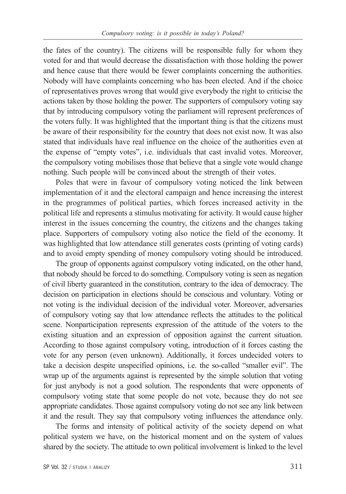the fates of the country). The citizens will be responsible fully for whom they voted for and that would decrease the dissatisfaction with those holding the power and hence cause that there would be fewer complaints concerning the authorities. Nobody will have complaints concerning who has been elected. And if the choice of representatives proves wrong that would give everybody the right to criticise the actions taken by those holding the power. The supporters of compulsory voting say that by introducing compulsory voting the parliament will represent preferences of the voters fully. It was highlighted that the important thing is that the citizens must be aware of their responsibility for the country that does not exist now. It was also stated that individuals have real influence on the choice of the authorities even at the expense of "empty votes", i.e. individuals that cast invalid votes. Moreover, the compulsory voting mobilises those that believe that a single vote would change nothing. Such people will be convinced about the strength of their votes.

Poles that were in favour of compulsory voting noticed the link between implementation of it and the electoral campaign and hence increasing the interest in the programmes of political parties, which forces increased activity in the political life and represents a stimulus motivating for activity. It would cause higher interest in the issues concerning the country, the citizens and the changes taking place. Supporters of compulsory voting also notice the field of the economy. It was highlighted that low attendance still generates costs (printing of voting cards) and to avoid empty spending of money compulsory voting should be introduced.

The group of opponents against compulsory voting indicated, on the other hand, that nobody should be forced to do something. Compulsory voting is seen as negation of civil liberty guaranteed in the constitution, contrary to the idea of democracy. The decision on participation in elections should be conscious and voluntary. Voting or not voting is the individual decision of the individual voter. Moreover, adversaries of compulsory voting say that low attendance reflects the attitudes to the political scene. Nonparticipation represents expression of the attitude of the voters to the existing situation and an expression of opposition against the current situation. According to those against compulsory voting, introduction of it forces casting the vote for any person (even unknown). Additionally, it forces undecided voters to take a decision despite unspecified opinions, i.e. the so-called "smaller evil". The wrap up of the arguments against is represented by the simple solution that voting for just anybody is not a good solution. The respondents that were opponents of compulsory voting state that some people do not vote, because they do not see appropriate candidates. Those against compulsory voting do not see any link between it and the result. They say that compulsory voting influences the attendance only.

The forms and intensity of political activity of the society depend on what political system we have, on the historical moment and on the system of values shared by the society. The attitude to own political involvement is linked to the level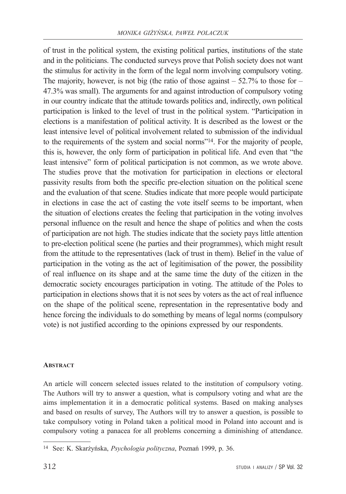of trust in the political system, the existing political parties, institutions of the state and in the politicians. The conducted surveys prove that Polish society does not want the stimulus for activity in the form of the legal norm involving compulsory voting. The majority, however, is not big (the ratio of those against  $-52.7\%$  to those for  $-$ 47.3% was small). The arguments for and against introduction of compulsory voting in our country indicate that the attitude towards politics and, indirectly, own political participation is linked to the level of trust in the political system. "Participation in elections is a manifestation of political activity. It is described as the lowest or the least intensive level of political involvement related to submission of the individual to the requirements of the system and social norms"14. For the majority of people, this is, however, the only form of participation in political life. And even that "the least intensive" form of political participation is not common, as we wrote above. The studies prove that the motivation for participation in elections or electoral passivity results from both the specific pre-election situation on the political scene and the evaluation of that scene. Studies indicate that more people would participate in elections in case the act of casting the vote itself seems to be important, when the situation of elections creates the feeling that participation in the voting involves personal influence on the result and hence the shape of politics and when the costs of participation are not high. The studies indicate that the society pays little attention to pre-election political scene (he parties and their programmes), which might result from the attitude to the representatives (lack of trust in them). Belief in the value of participation in the voting as the act of legitimisation of the power, the possibility of real influence on its shape and at the same time the duty of the citizen in the democratic society encourages participation in voting. The attitude of the Poles to participation in elections shows that it is not sees by voters as the act of real influence on the shape of the political scene, representation in the representative body and hence forcing the individuals to do something by means of legal norms (compulsory vote) is not justified according to the opinions expressed by our respondents.

#### **ABSTRACT**

An article will concern selected issues related to the institution of compulsory voting. The Authors will try to answer a question, what is compulsory voting and what are the aims implementation it in a democratic political systems. Based on making analyses and based on results of survey, The Authors will try to answer a question, is possible to take compulsory voting in Poland taken a political mood in Poland into account and is compulsory voting a panacea for all problems concerning a diminishing of attendance.

<sup>14</sup> See: K. Skarżyńska, *Psychologia polityczna*, Poznań 1999, p. 36.